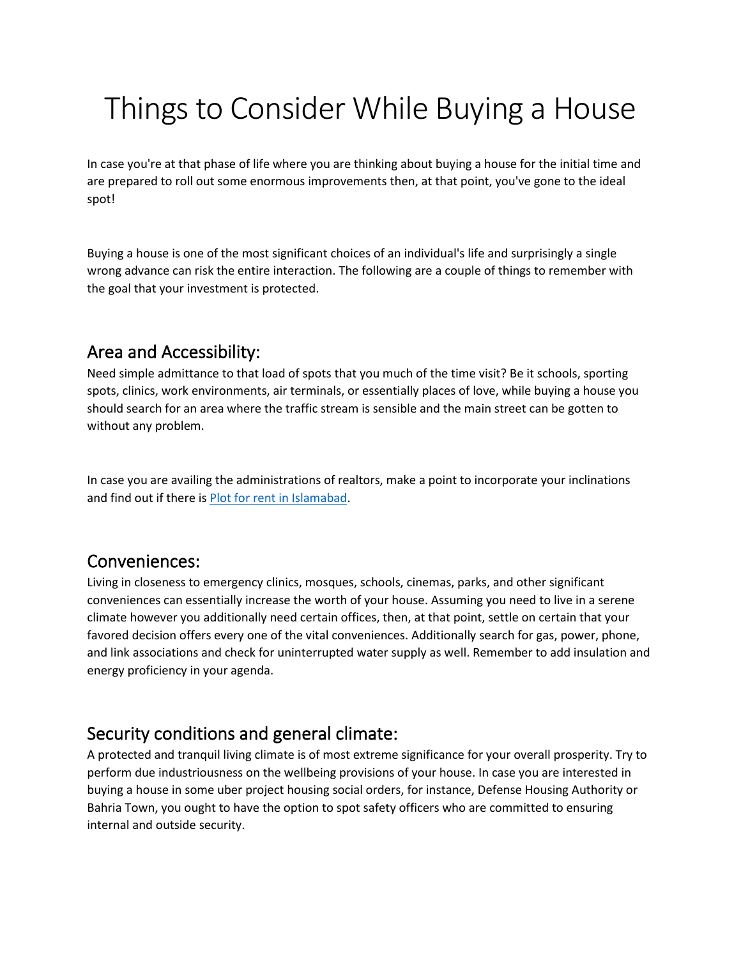# Things to Consider While Buying a House

In case you're at that phase of life where you are thinking about buying a house for the initial time and are prepared to roll out some enormous improvements then, at that point, you've gone to the ideal spot!

Buying a house is one of the most significant choices of an individual's life and surprisingly a single wrong advance can risk the entire interaction. The following are a couple of things to remember with the goal that your investment is protected.

#### Area and Accessibility:

Need simple admittance to that load of spots that you much of the time visit? Be it schools, sporting spots, clinics, work environments, air terminals, or essentially places of love, while buying a house you should search for an area where the traffic stream is sensible and the main street can be gotten to without any problem.

In case you are availing the administrations of realtors, make a point to incorporate your inclinations and find out if there is [Plot for rent in Islamabad.](https://gharbaar.com/rent/Plots/Islamabad-11-1)

#### Conveniences:

Living in closeness to emergency clinics, mosques, schools, cinemas, parks, and other significant conveniences can essentially increase the worth of your house. Assuming you need to live in a serene climate however you additionally need certain offices, then, at that point, settle on certain that your favored decision offers every one of the vital conveniences. Additionally search for gas, power, phone, and link associations and check for uninterrupted water supply as well. Remember to add insulation and energy proficiency in your agenda.

#### Security conditions and general climate:

A protected and tranquil living climate is of most extreme significance for your overall prosperity. Try to perform due industriousness on the wellbeing provisions of your house. In case you are interested in buying a house in some uber project housing social orders, for instance, Defense Housing Authority or Bahria Town, you ought to have the option to spot safety officers who are committed to ensuring internal and outside security.